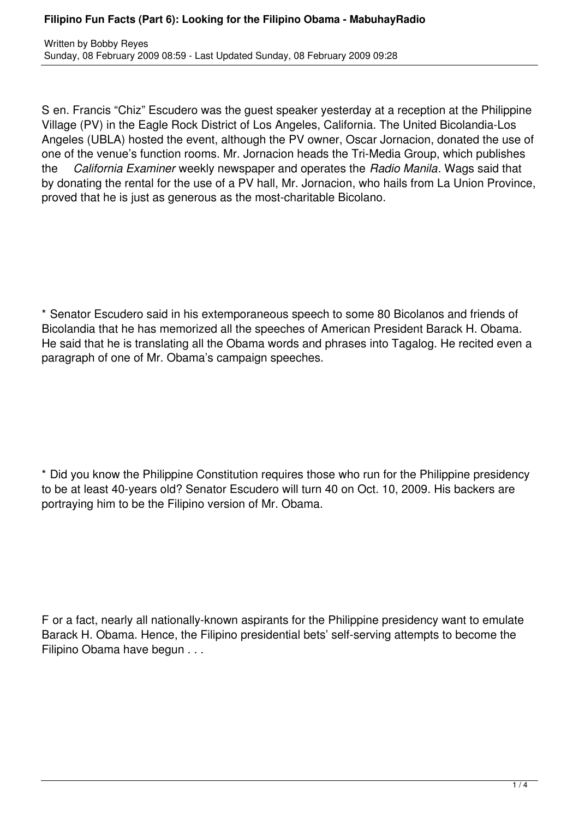S en. Francis "Chiz" Escudero was the guest speaker yesterday at a reception at the Philippine Village (PV) in the Eagle Rock District of Los Angeles, California. The United Bicolandia-Los Angeles (UBLA) hosted the event, although the PV owner, Oscar Jornacion, donated the use of one of the venue's function rooms. Mr. Jornacion heads the Tri-Media Group, which publishes the *California Examiner* weekly newspaper and operates the *Radio Manila*. Wags said that by donating the rental for the use of a PV hall, Mr. Jornacion, who hails from La Union Province, proved that he is just as generous as the most-charitable Bicolano.

\* Senator Escudero said in his extemporaneous speech to some 80 Bicolanos and friends of Bicolandia that he has memorized all the speeches of American President Barack H. Obama. He said that he is translating all the Obama words and phrases into Tagalog. He recited even a paragraph of one of Mr. Obama's campaign speeches.

\* Did you know the Philippine Constitution requires those who run for the Philippine presidency to be at least 40-years old? Senator Escudero will turn 40 on Oct. 10, 2009. His backers are portraying him to be the Filipino version of Mr. Obama.

F or a fact, nearly all nationally-known aspirants for the Philippine presidency want to emulate Barack H. Obama. Hence, the Filipino presidential bets' self-serving attempts to become the Filipino Obama have begun . . .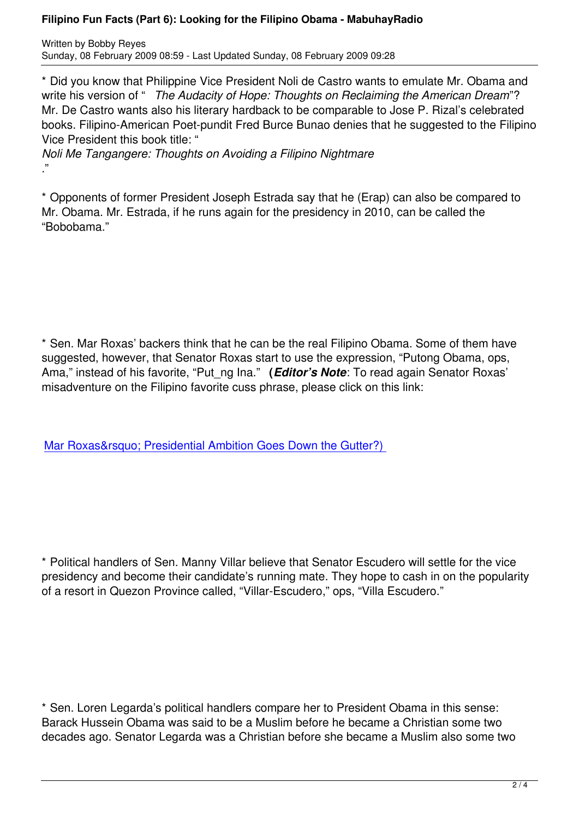\* Did you know that Philippine Vice President Noli de Castro wants to emulate Mr. Obama and write his version of " *The Audacity of Hope: Thoughts on Reclaiming the American Dream*"? Mr. De Castro wants also his literary hardback to be comparable to Jose P. Rizal's celebrated books. Filipino-American Poet-pundit Fred Burce Bunao denies that he suggested to the Filipino Vice President this book title: "

*Noli Me Tangangere: Thoughts on Avoiding a Filipino Nightmare* ."

\* Opponents of former President Joseph Estrada say that he (Erap) can also be compared to Mr. Obama. Mr. Estrada, if he runs again for the presidency in 2010, can be called the "Bobobama."

\* Sen. Mar Roxas' backers think that he can be the real Filipino Obama. Some of them have suggested, however, that Senator Roxas start to use the expression, "Putong Obama, ops, Ama," instead of his favorite, "Put\_ng Ina." **(***Editor's Note*: To read again Senator Roxas' misadventure on the Filipino favorite cuss phrase, please click on this link:

Mar Roxas&rsquo: Presidential Ambition Goes Down the Gutter?)

\* Political handlers of Sen. Manny Villar believe that Senator Escudero will settle for the vice presidency and become their candidate's running mate. They hope to cash in on the popularity of a resort in Quezon Province called, "Villar-Escudero," ops, "Villa Escudero."

\* Sen. Loren Legarda's political handlers compare her to President Obama in this sense: Barack Hussein Obama was said to be a Muslim before he became a Christian some two decades ago. Senator Legarda was a Christian before she became a Muslim also some two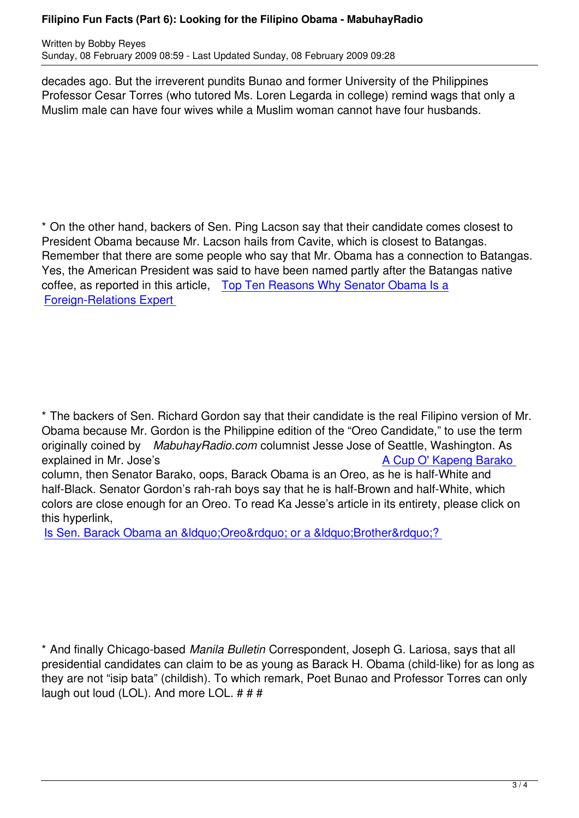decades ago. But the irreverent pundits Bunao and former University of the Philippines Professor Cesar Torres (who tutored Ms. Loren Legarda in college) remind wags that only a Muslim male can have four wives while a Muslim woman cannot have four husbands.

\* On the other hand, backers of Sen. Ping Lacson say that their candidate comes closest to President Obama because Mr. Lacson hails from Cavite, which is closest to Batangas. Remember that there are some people who say that Mr. Obama has a connection to Batangas. Yes, the American President was said to have been named partly after the Batangas native coffee, as reported in this article, Top Ten Reasons Why Senator Obama Is a Foreign-Relations Expert

\* The backers of Sen. Richard Gordon say that their candidate is the real Filipino version of Mr. Obama because Mr. Gordon is the Philippine edition of the "Oreo Candidate," to use the term originally coined by *MabuhayRadio.com* columnist Jesse Jose of Seattle, Washington. As explained in Mr. Jose's **A Cup O' Kapeng Barako** column, then Senator Barako, oops, Barack Obama is an Oreo, as he is half-White and half-Black. Senator Gordon's rah-rah boys say that he is half-Brown and half-White, which colors are close enough for an Oreo. To read Ka Jesse's article in [its entirety, please click on](Columns/Barako.html) this hyperlink,

Is Sen. Barack Obama an &Idquo: Oreo & rdquo: or a &Idquo: Brother & rdquo: ?

\* And finally Chicago-based *Manila Bulletin* Correspondent, Joseph G. Lariosa, says that all presidential candidates can claim to be as young as Barack H. Obama (child-like) for as long as they are not "isip bata" (childish). To which remark, Poet Bunao and Professor Torres can only laugh out loud (LOL). And more LOL. # # #